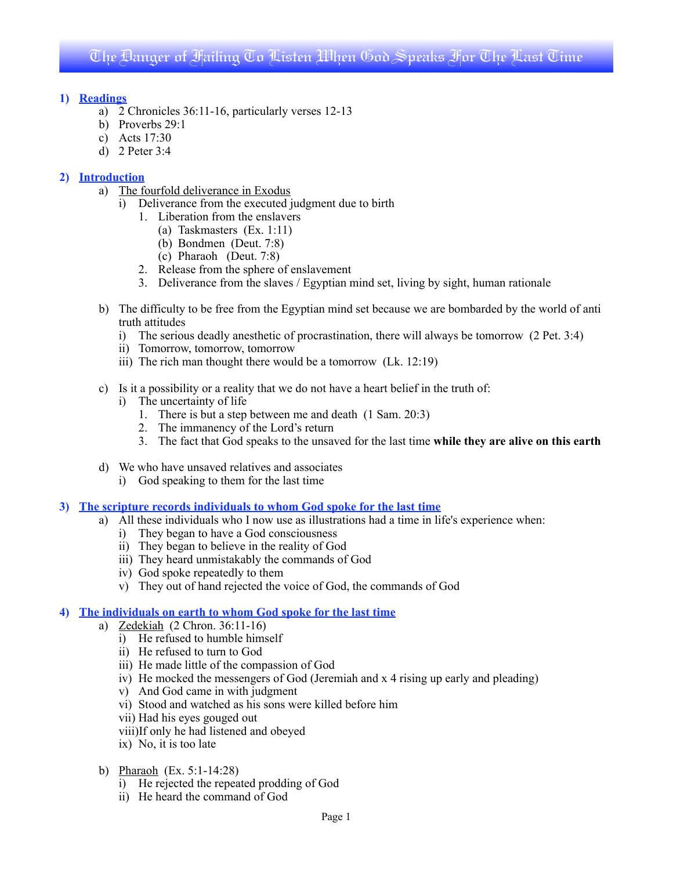## **1) Readings**

- a) 2 Chronicles 36:11-16, particularly verses 12-13
- b) Proverbs 29:1
- c) Acts 17:30
- d) 2 Peter 3:4

## **2) Introduction**

- a) The fourfold deliverance in Exodus
	- i) Deliverance from the executed judgment due to birth
		- 1. Liberation from the enslavers
			- (a) Taskmasters (Ex. 1:11)
			- (b) Bondmen (Deut. 7:8)
			- (c) Pharaoh (Deut. 7:8)
		- 2. Release from the sphere of enslavement
		- 3. Deliverance from the slaves / Egyptian mind set, living by sight, human rationale
- b) The difficulty to be free from the Egyptian mind set because we are bombarded by the world of anti truth attitudes
	- i) The serious deadly anesthetic of procrastination, there will always be tomorrow (2 Pet. 3:4)
	- ii) Tomorrow, tomorrow, tomorrow
	- iii) The rich man thought there would be a tomorrow (Lk. 12:19)
- c) Is it a possibility or a reality that we do not have a heart belief in the truth of:
	- i) The uncertainty of life
		- 1. There is but a step between me and death (1 Sam. 20:3)
		- 2. The immanency of the Lord's return
		- 3. The fact that God speaks to the unsaved for the last time **while they are alive on this earth**
- d) We who have unsaved relatives and associates
	- i) God speaking to them for the last time
- **3) The scripture records individuals to whom God spoke for the last time**
	- a) All these individuals who I now use as illustrations had a time in life's experience when:
		- i) They began to have a God consciousness
		- ii) They began to believe in the reality of God
		- iii) They heard unmistakably the commands of God
		- iv) God spoke repeatedly to them
		- v) They out of hand rejected the voice of God, the commands of God

### **4) The individuals on earth to whom God spoke for the last time**

- a) Zedekiah (2 Chron. 36:11-16)
	- i) He refused to humble himself
	- ii) He refused to turn to God
	- iii) He made little of the compassion of God
	- iv) He mocked the messengers of God (Jeremiah and x 4 rising up early and pleading)
	- v) And God came in with judgment
	- vi) Stood and watched as his sons were killed before him
	- vii) Had his eyes gouged out
	- viii)If only he had listened and obeyed
	- ix) No, it is too late
- b) Pharaoh (Ex. 5:1-14:28)
	- i) He rejected the repeated prodding of God
	- ii) He heard the command of God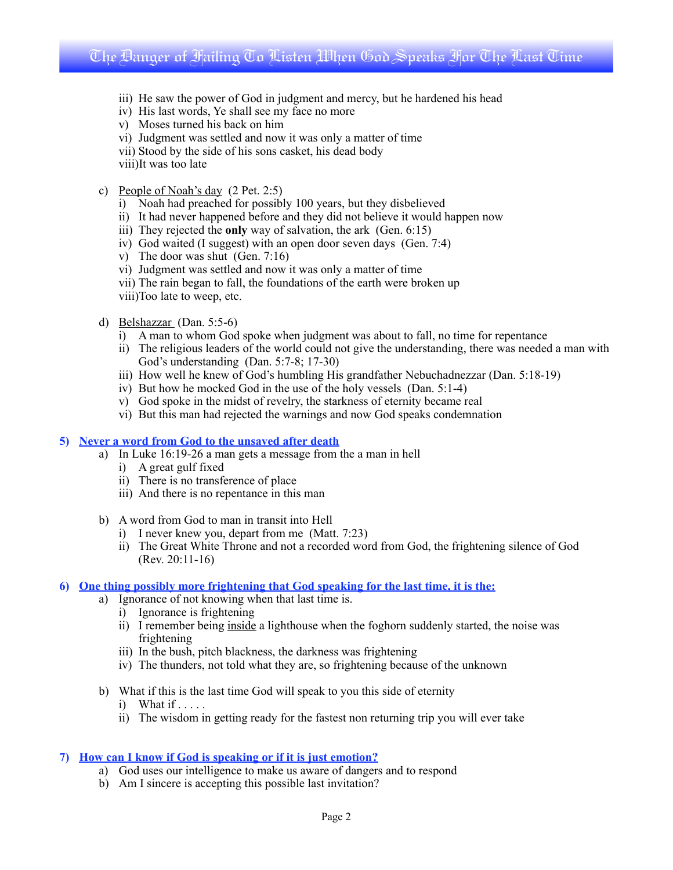## The Danger of Failing To Listen When God Speaks For The Last Time

- iii) He saw the power of God in judgment and mercy, but he hardened his head
- iv) His last words, Ye shall see my face no more
- v) Moses turned his back on him
- vi) Judgment was settled and now it was only a matter of time
- vii) Stood by the side of his sons casket, his dead body
- viii)It was too late
- c) People of Noah's day (2 Pet. 2:5)
	- i) Noah had preached for possibly 100 years, but they disbelieved
	- ii) It had never happened before and they did not believe it would happen now
	- iii) They rejected the **only** way of salvation, the ark (Gen. 6:15)
	- iv) God waited (I suggest) with an open door seven days (Gen. 7:4)
	- v) The door was shut (Gen. 7:16)
	- vi) Judgment was settled and now it was only a matter of time
	- vii) The rain began to fall, the foundations of the earth were broken up
	- viii)Too late to weep, etc.
- d) Belshazzar (Dan. 5:5-6)
	- i) A man to whom God spoke when judgment was about to fall, no time for repentance
	- ii) The religious leaders of the world could not give the understanding, there was needed a man with God's understanding (Dan. 5:7-8; 17-30)
	- iii) How well he knew of God's humbling His grandfather Nebuchadnezzar (Dan. 5:18-19)
	- iv) But how he mocked God in the use of the holy vessels (Dan. 5:1-4)
	- v) God spoke in the midst of revelry, the starkness of eternity became real
	- vi) But this man had rejected the warnings and now God speaks condemnation

#### **5) Never a word from God to the unsaved after death**

- a) In Luke 16:19-26 a man gets a message from the a man in hell
	- i) A great gulf fixed
	- ii) There is no transference of place
	- iii) And there is no repentance in this man
- b) A word from God to man in transit into Hell
	- i) I never knew you, depart from me (Matt. 7:23)
	- ii) The Great White Throne and not a recorded word from God, the frightening silence of God (Rev. 20:11-16)

#### **6) One thing possibly more frightening that God speaking for the last time, it is the:**

- a) Ignorance of not knowing when that last time is.
	- i) Ignorance is frightening
	- ii) I remember being inside a lighthouse when the foghorn suddenly started, the noise was frightening
	- iii) In the bush, pitch blackness, the darkness was frightening
	- iv) The thunders, not told what they are, so frightening because of the unknown
- b) What if this is the last time God will speak to you this side of eternity
	- i) What if  $\ldots$ .
	- ii) The wisdom in getting ready for the fastest non returning trip you will ever take

#### **7) How can I know if God is speaking or if it is just emotion?**

- a) God uses our intelligence to make us aware of dangers and to respond
- b) Am I sincere is accepting this possible last invitation?